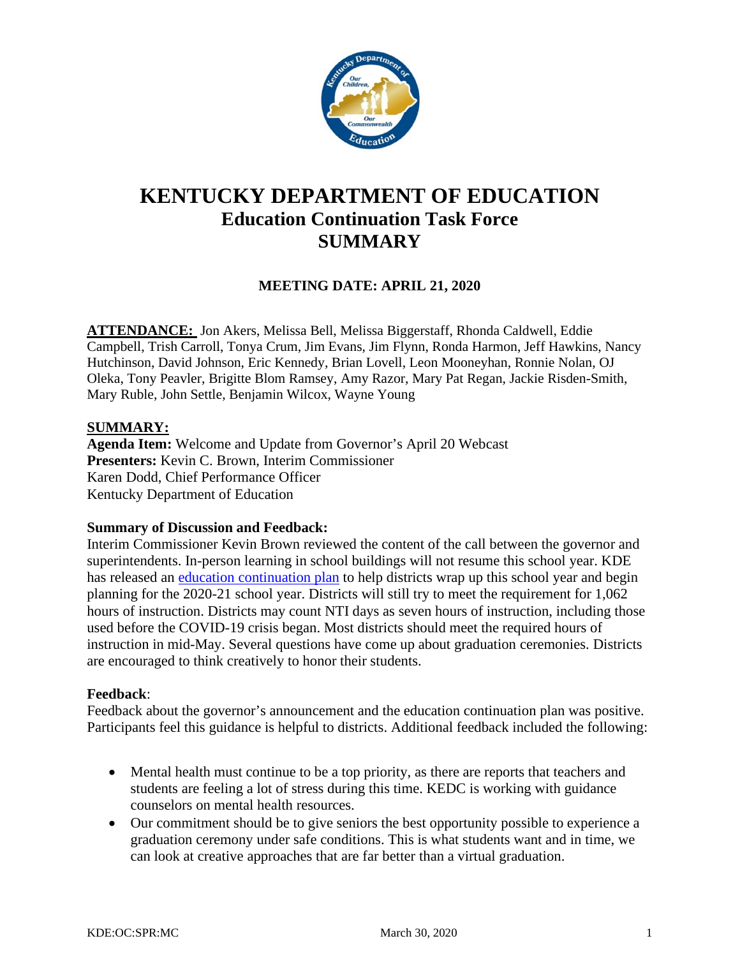

# **KENTUCKY DEPARTMENT OF EDUCATION Education Continuation Task Force SUMMARY**

### **MEETING DATE: APRIL 21, 2020**

**ATTENDANCE:** Jon Akers, Melissa Bell, Melissa Biggerstaff, Rhonda Caldwell, Eddie Campbell, Trish Carroll, Tonya Crum, Jim Evans, Jim Flynn, Ronda Harmon, Jeff Hawkins, Nancy Hutchinson, David Johnson, Eric Kennedy, Brian Lovell, Leon Mooneyhan, Ronnie Nolan, OJ Oleka, Tony Peavler, Brigitte Blom Ramsey, Amy Razor, Mary Pat Regan, Jackie Risden-Smith, Mary Ruble, John Settle, Benjamin Wilcox, Wayne Young

#### **SUMMARY:**

**Agenda Item:** Welcome and Update from Governor's April 20 Webcast **Presenters:** Kevin C. Brown, Interim Commissioner Karen Dodd, Chief Performance Officer Kentucky Department of Education

#### **Summary of Discussion and Feedback:**

Interim Commissioner Kevin Brown reviewed the content of the call between the governor and superintendents. In-person learning in school buildings will not resume this school year. KDE has released an [education continuation](https://education.ky.gov/comm/Documents/COVID-19%20Education%20Continuation%20Plan.pdf) plan to help districts wrap up this school year and begin planning for the 2020-21 school year. Districts will still try to meet the requirement for 1,062 hours of instruction. Districts may count NTI days as seven hours of instruction, including those used before the COVID-19 crisis began. Most districts should meet the required hours of instruction in mid-May. Several questions have come up about graduation ceremonies. Districts are encouraged to think creatively to honor their students.

#### **Feedback**:

Feedback about the governor's announcement and the education continuation plan was positive. Participants feel this guidance is helpful to districts. Additional feedback included the following:

- Mental health must continue to be a top priority, as there are reports that teachers and students are feeling a lot of stress during this time. KEDC is working with guidance counselors on mental health resources.
- Our commitment should be to give seniors the best opportunity possible to experience a graduation ceremony under safe conditions. This is what students want and in time, we can look at creative approaches that are far better than a virtual graduation.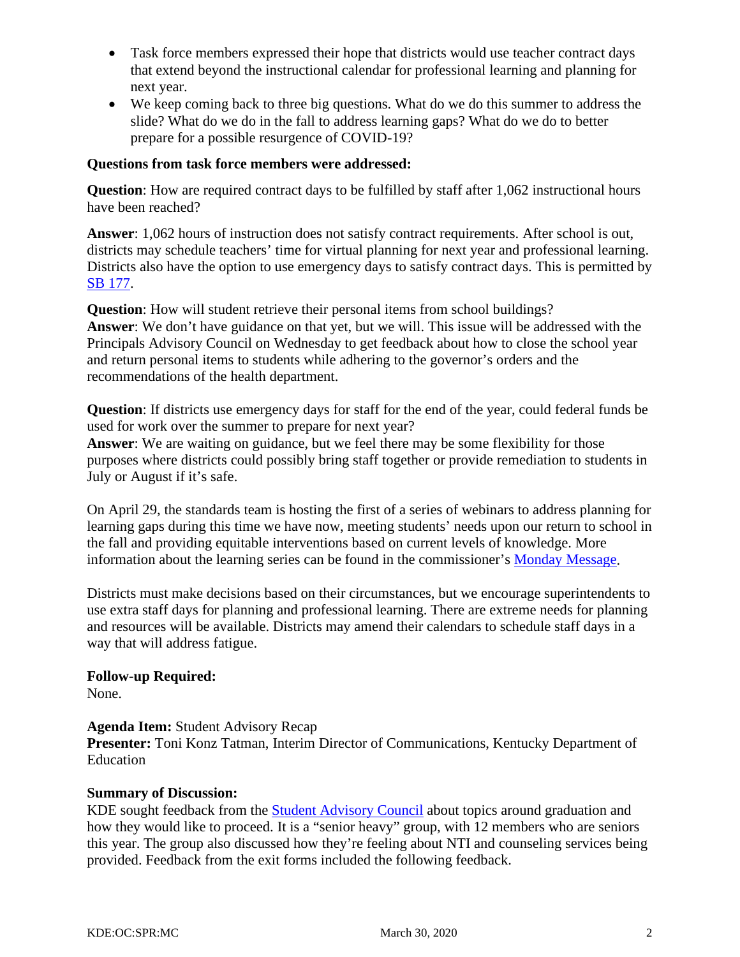- Task force members expressed their hope that districts would use teacher contract days that extend beyond the instructional calendar for professional learning and planning for next year.
- We keep coming back to three big questions. What do we do this summer to address the slide? What do we do in the fall to address learning gaps? What do we do to better prepare for a possible resurgence of COVID-19?

#### **Questions from task force members were addressed:**

**Question**: How are required contract days to be fulfilled by staff after 1,062 instructional hours have been reached?

**Answer**: 1,062 hours of instruction does not satisfy contract requirements. After school is out, districts may schedule teachers' time for virtual planning for next year and professional learning. Districts also have the option to use emergency days to satisfy contract days. This is permitted by [SB 177.](https://apps.legislature.ky.gov/record/20rs/sb177.html)

**Question**: How will student retrieve their personal items from school buildings? **Answer**: We don't have guidance on that yet, but we will. This issue will be addressed with the Principals Advisory Council on Wednesday to get feedback about how to close the school year and return personal items to students while adhering to the governor's orders and the recommendations of the health department.

**Question**: If districts use emergency days for staff for the end of the year, could federal funds be used for work over the summer to prepare for next year?

**Answer**: We are waiting on guidance, but we feel there may be some flexibility for those purposes where districts could possibly bring staff together or provide remediation to students in July or August if it's safe.

On April 29, the standards team is hosting the first of a series of webinars to address planning for learning gaps during this time we have now, meeting students' needs upon our return to school in the fall and providing equitable interventions based on current levels of knowledge. More information about the learning series can be found in the commissioner's [Monday Message.](https://content.govdelivery.com/accounts/KYDE/bulletins/28763f1)

Districts must make decisions based on their circumstances, but we encourage superintendents to use extra staff days for planning and professional learning. There are extreme needs for planning and resources will be available. Districts may amend their calendars to schedule staff days in a way that will address fatigue.

**Follow-up Required:**

None.

#### **Agenda Item:** Student Advisory Recap

**Presenter:** Toni Konz Tatman, Interim Director of Communications, Kentucky Department of Education

#### **Summary of Discussion:**

KDE sought feedback from the **Student Advisory Council** about topics around graduation and how they would like to proceed. It is a "senior heavy" group, with 12 members who are seniors this year. The group also discussed how they're feeling about NTI and counseling services being provided. Feedback from the exit forms included the following feedback.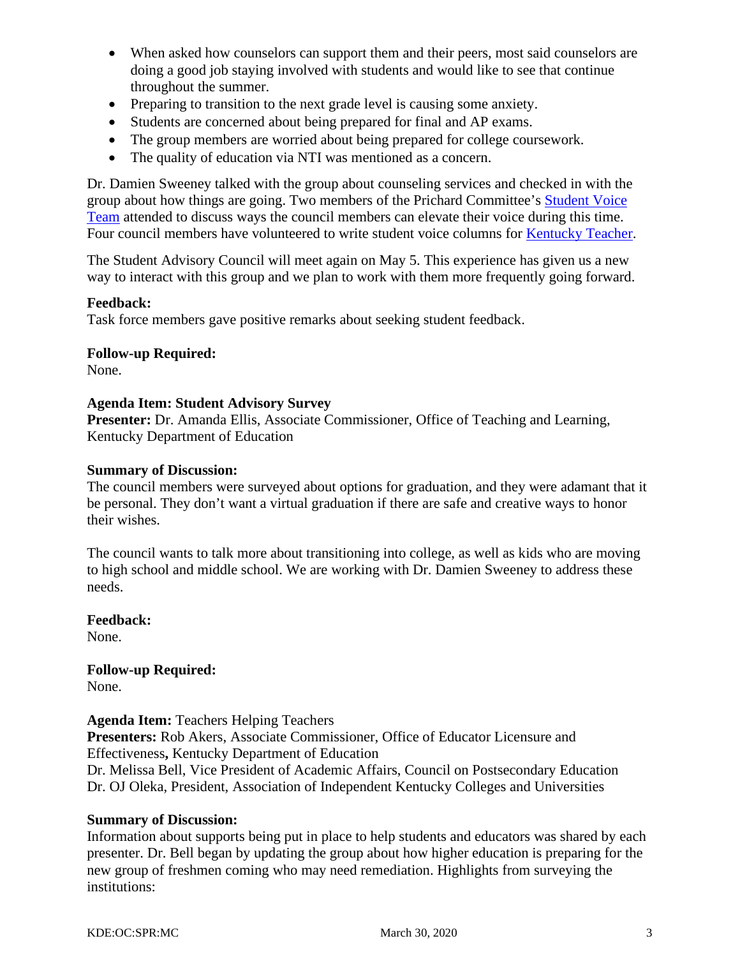- When asked how counselors can support them and their peers, most said counselors are doing a good job staying involved with students and would like to see that continue throughout the summer.
- Preparing to transition to the next grade level is causing some anxiety.
- Students are concerned about being prepared for final and AP exams.
- The group members are worried about being prepared for college coursework.
- The quality of education via NTI was mentioned as a concern.

Dr. Damien Sweeney talked with the group about counseling services and checked in with the group about how things are going. Two members of the Prichard Committee's [Student Voice](https://six10webdesign.com/prichard/school-climate-and-culture/)  [Team](https://six10webdesign.com/prichard/school-climate-and-culture/) attended to discuss ways the council members can elevate their voice during this time. Four council members have volunteered to write student voice columns for [Kentucky Teacher.](https://www.kentuckyteacher.org/)

The Student Advisory Council will meet again on May 5. This experience has given us a new way to interact with this group and we plan to work with them more frequently going forward.

#### **Feedback:**

Task force members gave positive remarks about seeking student feedback.

#### **Follow-up Required:**

None.

#### **Agenda Item: Student Advisory Survey**

Presenter: Dr. Amanda Ellis, Associate Commissioner, Office of Teaching and Learning, Kentucky Department of Education

#### **Summary of Discussion:**

The council members were surveyed about options for graduation, and they were adamant that it be personal. They don't want a virtual graduation if there are safe and creative ways to honor their wishes.

The council wants to talk more about transitioning into college, as well as kids who are moving to high school and middle school. We are working with Dr. Damien Sweeney to address these needs.

#### **Feedback:**

None.

## **Follow-up Required:**

None.

#### **Agenda Item:** Teachers Helping Teachers

**Presenters:** Rob Akers, Associate Commissioner, Office of Educator Licensure and Effectiveness**,** Kentucky Department of Education

Dr. Melissa Bell, Vice President of Academic Affairs, Council on Postsecondary Education Dr. OJ Oleka, President, Association of Independent Kentucky Colleges and Universities

#### **Summary of Discussion:**

Information about supports being put in place to help students and educators was shared by each presenter. Dr. Bell began by updating the group about how higher education is preparing for the new group of freshmen coming who may need remediation. Highlights from surveying the institutions: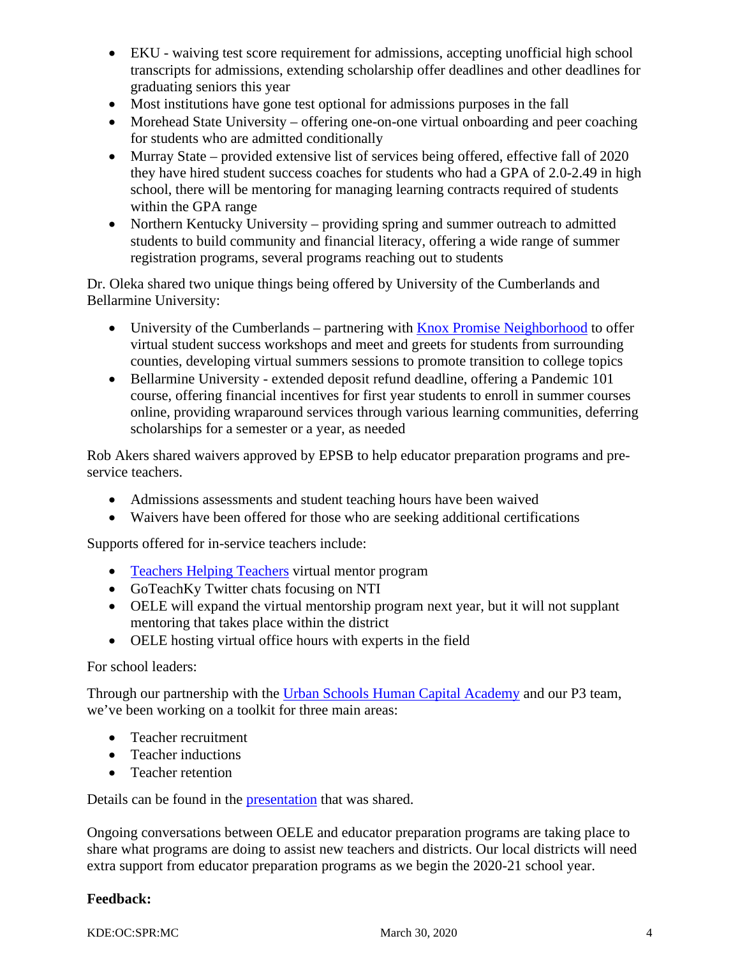- EKU waiving test score requirement for admissions, accepting unofficial high school transcripts for admissions, extending scholarship offer deadlines and other deadlines for graduating seniors this year
- Most institutions have gone test optional for admissions purposes in the fall
- Morehead State University offering one-on-one virtual onboarding and peer coaching for students who are admitted conditionally
- Murray State provided extensive list of services being offered, effective fall of 2020 they have hired student success coaches for students who had a GPA of 2.0-2.49 in high school, there will be mentoring for managing learning contracts required of students within the GPA range
- Northern Kentucky University providing spring and summer outreach to admitted students to build community and financial literacy, offering a wide range of summer registration programs, several programs reaching out to students

Dr. Oleka shared two unique things being offered by University of the Cumberlands and Bellarmine University:

- University of the Cumberlands partnering with [Knox Promise Neighborhood](https://www.facebook.com/knoxpromiseneighborhood/) to offer virtual student success workshops and meet and greets for students from surrounding counties, developing virtual summers sessions to promote transition to college topics
- Bellarmine University extended deposit refund deadline, offering a Pandemic 101 course, offering financial incentives for first year students to enroll in summer courses online, providing wraparound services through various learning communities, deferring scholarships for a semester or a year, as needed

Rob Akers shared waivers approved by EPSB to help educator preparation programs and preservice teachers.

- Admissions assessments and student teaching hours have been waived
- Waivers have been offered for those who are seeking additional certifications

Supports offered for in-service teachers include:

- [Teachers Helping Teachers](https://goteachky.com/teachers-helping-teachers/) virtual mentor program
- GoTeachKy Twitter chats focusing on NTI
- OELE will expand the virtual mentorship program next year, but it will not supplant mentoring that takes place within the district
- OELE hosting virtual office hours with experts in the field

#### For school leaders:

Through our partnership with the [Urban Schools Human Capital Academy](http://www.ushcacademy.org/) and our P3 team, we've been working on a toolkit for three main areas:

- Teacher recruitment
- Teacher inductions
- Teacher retention

Details can be found in the [presentation](https://education.ky.gov/CommOfEd/adv/Documents/Education%20Continuation/OELE%20Superintendent%20Webcast%20April%2014%202020.pdf) that was shared.

Ongoing conversations between OELE and educator preparation programs are taking place to share what programs are doing to assist new teachers and districts. Our local districts will need extra support from educator preparation programs as we begin the 2020-21 school year.

#### **Feedback:**